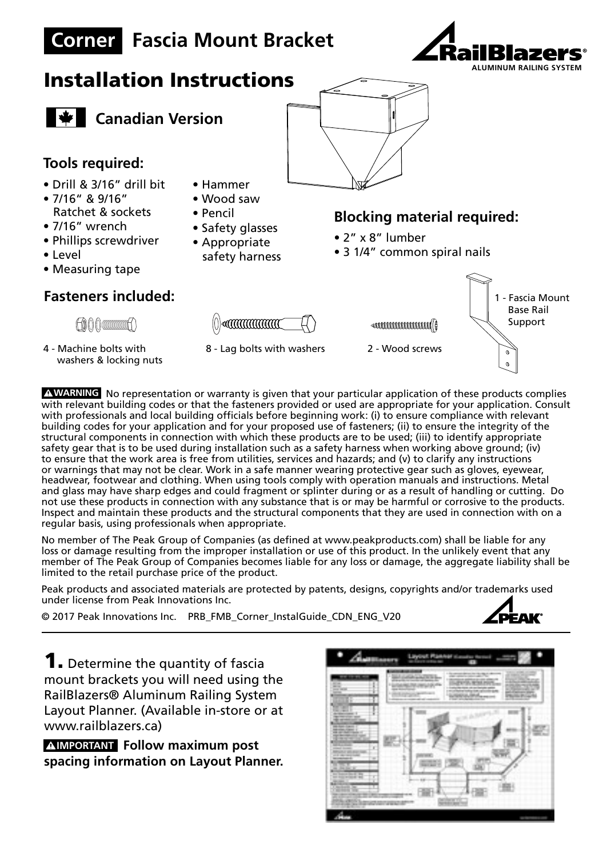

A WARNING No representation or warranty is given that your particular application of these products complies with relevant building codes or that the fasteners provided or used are appropriate for your application. Consult with professionals and local building officials before beginning work: (i) to ensure compliance with relevant **ADVERTENCIA** building codes for your application and for your proposed use of fasteners; (ii) to ensure the integrity of the structural components in connection with which these products are to be used; (iii) to identify appropriate safety gear that is to be used during installation such as a safety harness when working above ground; (iv) to ensure that the work area is free from utilities, services and hazards; and (v) to clarify any instructions or warnings that may not be clear. Work in a safe manner wearing protective gear such as gloves, eyewear, headwear, footwear and clothing. When using tools comply with operation manuals and instructions. Metal and glass may have sharp edges and could fragment or splinter during or as a result of handling or cutting. Do not use these products in connection with any substance that is or may be harmful or corrosive to the products. Inspect and maintain these products and the structural components that they are used in connection with on a regular basis, using professionals when appropriate.

No member of The Peak Group of Companies (as defined at www.peakproducts.com) shall be liable for any loss or damage resulting from the improper installation or use of this product. In the unlikely event that any member of The Peak Group of Companies becomes liable for any loss or damage, the aggregate liability shall be limited to the retail purchase price of the product.

Peak products and associated materials are protected by patents, designs, copyrights and/or trademarks used under license from Peak Innovations Inc.

© 2017 Peak Innovations Inc. PRB\_FMB\_Corner\_InstalGuide\_CDN\_ENG\_V20



**1.** Determine the quantity of fascia mount brackets you will need using the RailBlazers® Aluminum Railing System Layout Planner. (Available in-store or at www.railblazers.ca)

**AIMPORTANT** Follow maximum post **spacing information on Layout Planner.**

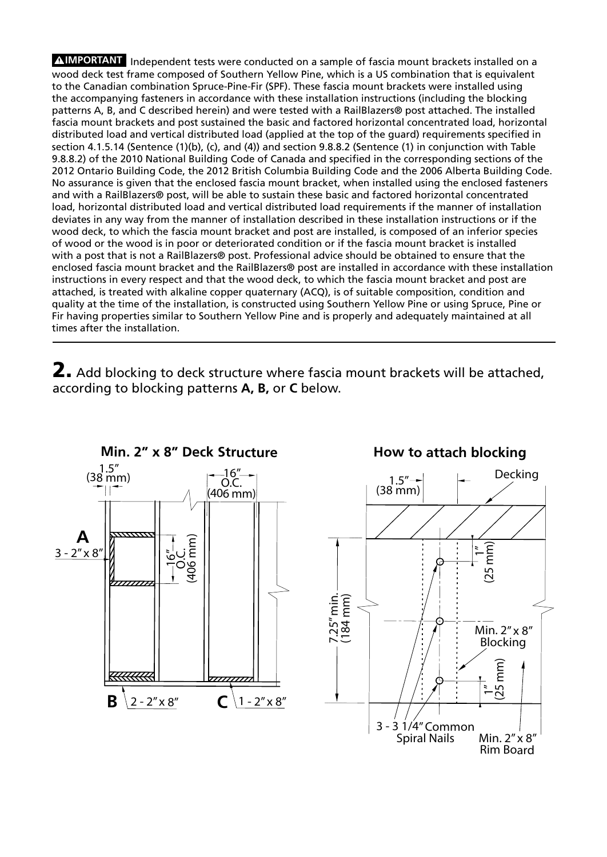**AIMPORTANT** Independent tests were conducted on a sample of fascia mount brackets installed on a wood deck test frame composed of Southern Yellow Pine, which is a US combination that is equivalent to the Canadian combination Spruce-Pine-Fir (SPF). These fascia mount brackets were installed using the accompanying fasteners in accordance with these installation instructions (including the blocking patterns A, B, and C described herein) and were tested with a RailBlazers® post attached. The installed fascia mount brackets and post sustained the basic and factored horizontal concentrated load, horizontal distributed load and vertical distributed load (applied at the top of the guard) requirements specified in section 4.1.5.14 (Sentence (1)(b), (c), and (4)) and section 9.8.8.2 (Sentence (1) in conjunction with Table 9.8.8.2) of the 2010 National Building Code of Canada and specified in the corresponding sections of the 2012 Ontario Building Code, the 2012 British Columbia Building Code and the 2006 Alberta Building Code. No assurance is given that the enclosed fascia mount bracket, when installed using the enclosed fasteners and with a RailBlazers® post, will be able to sustain these basic and factored horizontal concentrated load, horizontal distributed load and vertical distributed load requirements if the manner of installation deviates in any way from the manner of installation described in these installation instructions or if the wood deck, to which the fascia mount bracket and post are installed, is composed of an inferior species of wood or the wood is in poor or deteriorated condition or if the fascia mount bracket is installed with a post that is not a RailBlazers® post. Professional advice should be obtained to ensure that the enclosed fascia mount bracket and the RailBlazers® post are installed in accordance with these installation instructions in every respect and that the wood deck, to which the fascia mount bracket and post are attached, is treated with alkaline copper quaternary (ACQ), is of suitable composition, condition and quality at the time of the installation, is constructed using Southern Yellow Pine or using Spruce, Pine or Fir having properties similar to Southern Yellow Pine and is properly and adequately maintained at all times after the installation.

2. Add blocking to deck structure where fascia mount brackets will be attached, according to blocking patterns **A, B,** or **C** below.

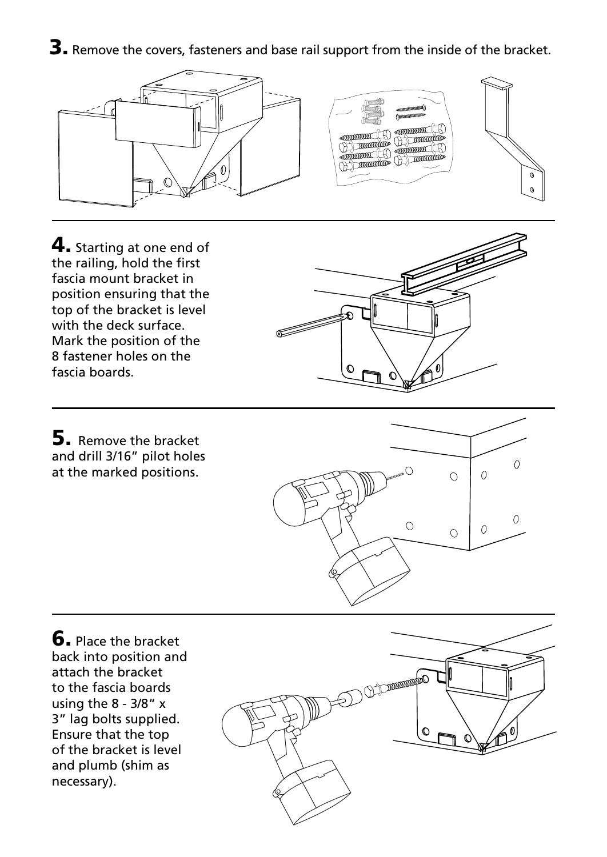3. Remove the covers, fasteners and base rail support from the inside of the bracket.



4. Starting at one end of the railing, hold the first fascia mount bracket in position ensuring that the top of the bracket is level with the deck surface. Mark the position of the 8 fastener holes on the fascia boards.



**5.** Remove the bracket and drill 3/16" pilot holes at the marked positions.



**6.** Place the bracket back into position and attach the bracket to the fascia boards using the 8 - 3/8" x 3" lag bolts supplied. Ensure that the top of the bracket is level and plumb (shim as necessary).